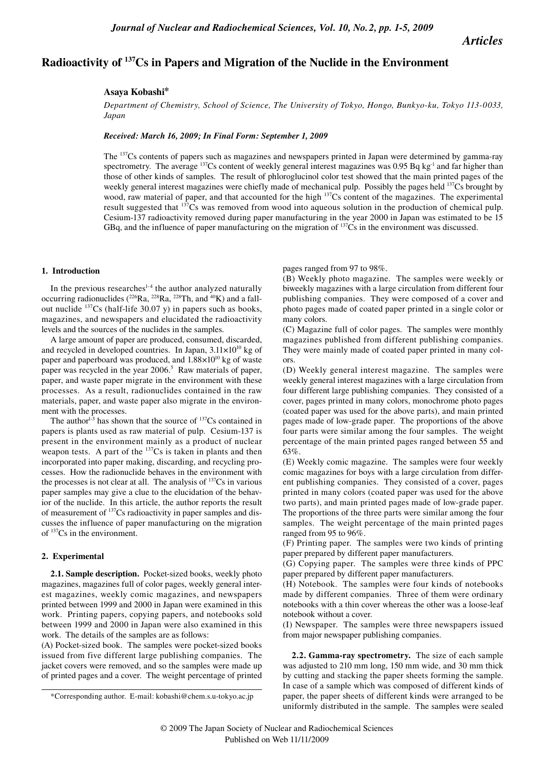*Articles*

# **Radioactivity of 137Cs in Papers and Migration of the Nuclide in the Environment**

## **Asaya Kobashi\***

*Department of Chemistry, School of Science, The University of Tokyo, Hongo, Bunkyo-ku, Tokyo 113-0033, Japan*

## *Received: March 16, 2009; In Final Form: September 1, 2009*

The 137Cs contents of papers such as magazines and newspapers printed in Japan were determined by gamma-ray spectrometry. The average  $137Cs$  content of weekly general interest magazines was 0.95 Bq kg<sup>-1</sup> and far higher than those of other kinds of samples. The result of phloroglucinol color test showed that the main printed pages of the weekly general interest magazines were chiefly made of mechanical pulp. Possibly the pages held <sup>137</sup>Cs brought by wood, raw material of paper, and that accounted for the high <sup>137</sup>Cs content of the magazines. The experimental result suggested that  $137\overline{Cs}$  was removed from wood into aqueous solution in the production of chemical pulp. Cesium-137 radioactivity removed during paper manufacturing in the year 2000 in Japan was estimated to be 15 GBq, and the influence of paper manufacturing on the migration of  $137Cs$  in the environment was discussed.

### **1. Introduction**

In the previous researches $1-4$  the author analyzed naturally occurring radionuclides ( $^{226}$ Ra,  $^{228}$ Ra,  $^{228}$ Th, and  $^{40}$ K) and a fallout nuclide  $137Cs$  (half-life 30.07 y) in papers such as books, magazines, and newspapers and elucidated the radioactivity levels and the sources of the nuclides in the samples.

A large amount of paper are produced, consumed, discarded, and recycled in developed countries. In Japan,  $3.11 \times 10^{10}$  kg of paper and paperboard was produced, and  $1.88 \times 10^{10}$  kg of waste paper was recycled in the year 2006.<sup>5</sup> Raw materials of paper, paper, and waste paper migrate in the environment with these processes. As a result, radionuclides contained in the raw materials, paper, and waste paper also migrate in the environment with the processes.

The author<sup>1-3</sup> has shown that the source of  $137Cs$  contained in papers is plants used as raw material of pulp. Cesium-137 is present in the environment mainly as a product of nuclear weapon tests. A part of the  $137Cs$  is taken in plants and then incorporated into paper making, discarding, and recycling processes. How the radionuclide behaves in the environment with the processes is not clear at all. The analysis of  $137Cs$  in various paper samples may give a clue to the elucidation of the behavior of the nuclide. In this article, the author reports the result of measurement of 137Cs radioactivity in paper samples and discusses the influence of paper manufacturing on the migration of 137Cs in the environment.

#### **2. Experimental**

**2.1. Sample description.** Pocket-sized books, weekly photo magazines, magazines full of color pages, weekly general interest magazines, weekly comic magazines, and newspapers printed between 1999 and 2000 in Japan were examined in this work. Printing papers, copying papers, and notebooks sold between 1999 and 2000 in Japan were also examined in this work. The details of the samples are as follows:

(A) Pocket-sized book. The samples were pocket-sized books issued from five different large publishing companies. The jacket covers were removed, and so the samples were made up of printed pages and a cover. The weight percentage of printed pages ranged from 97 to 98%.

(B) Weekly photo magazine. The samples were weekly or biweekly magazines with a large circulation from different four publishing companies. They were composed of a cover and photo pages made of coated paper printed in a single color or many colors.

(C) Magazine full of color pages. The samples were monthly magazines published from different publishing companies. They were mainly made of coated paper printed in many colors.

(D) Weekly general interest magazine. The samples were weekly general interest magazines with a large circulation from four different large publishing companies. They consisted of a cover, pages printed in many colors, monochrome photo pages (coated paper was used for the above parts), and main printed pages made of low-grade paper. The proportions of the above four parts were similar among the four samples. The weight percentage of the main printed pages ranged between 55 and 63%.

(E) Weekly comic magazine. The samples were four weekly comic magazines for boys with a large circulation from different publishing companies. They consisted of a cover, pages printed in many colors (coated paper was used for the above two parts), and main printed pages made of low-grade paper. The proportions of the three parts were similar among the four samples. The weight percentage of the main printed pages ranged from 95 to 96%.

(F) Printing paper. The samples were two kinds of printing paper prepared by different paper manufacturers.

(G) Copying paper. The samples were three kinds of PPC paper prepared by different paper manufacturers.

(H) Notebook. The samples were four kinds of notebooks made by different companies. Three of them were ordinary notebooks with a thin cover whereas the other was a loose-leaf notebook without a cover.

(I) Newspaper. The samples were three newspapers issued from major newspaper publishing companies.

**2.2. Gamma-ray spectrometry.** The size of each sample was adjusted to 210 mm long, 150 mm wide, and 30 mm thick by cutting and stacking the paper sheets forming the sample. In case of a sample which was composed of different kinds of paper, the paper sheets of different kinds were arranged to be uniformly distributed in the sample. The samples were sealed

<sup>\*</sup>Corresponding author. E-mail: kobashi@chem.s.u-tokyo.ac.jp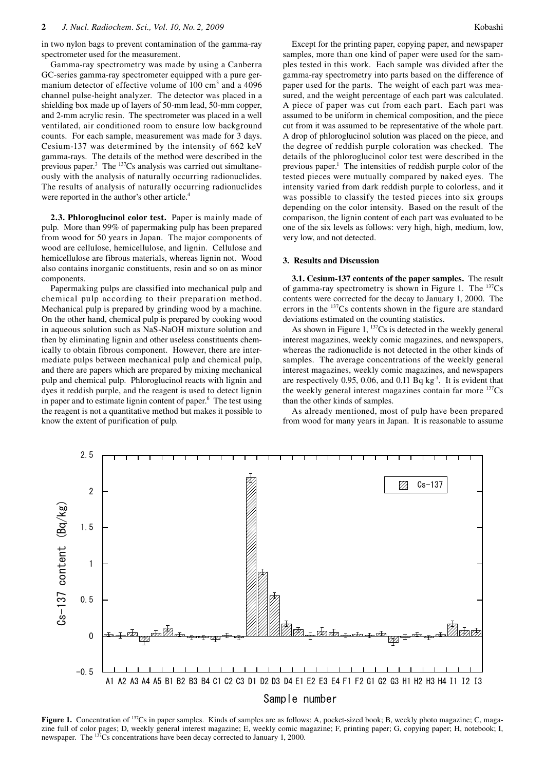in two nylon bags to prevent contamination of the gamma-ray spectrometer used for the measurement.

Gamma-ray spectrometry was made by using a Canberra GC-series gamma-ray spectrometer equipped with a pure germanium detector of effective volume of 100 cm<sup>3</sup> and a 4096 channel pulse-height analyzer. The detector was placed in a shielding box made up of layers of 50-mm lead, 50-mm copper, and 2-mm acrylic resin. The spectrometer was placed in a well ventilated, air conditioned room to ensure low background counts. For each sample, measurement was made for 3 days. Cesium-137 was determined by the intensity of 662 keV gamma-rays. The details of the method were described in the previous paper. $3$  The  $137Cs$  analysis was carried out simultaneously with the analysis of naturally occurring radionuclides. The results of analysis of naturally occurring radionuclides were reported in the author's other article.<sup>4</sup>

**2.3. Phloroglucinol color test.** Paper is mainly made of pulp. More than 99% of papermaking pulp has been prepared from wood for 50 years in Japan. The major components of wood are cellulose, hemicellulose, and lignin. Cellulose and hemicellulose are fibrous materials, whereas lignin not. Wood also contains inorganic constituents, resin and so on as minor components.

Papermaking pulps are classified into mechanical pulp and chemical pulp according to their preparation method. Mechanical pulp is prepared by grinding wood by a machine. On the other hand, chemical pulp is prepared by cooking wood in aqueous solution such as NaS-NaOH mixture solution and then by eliminating lignin and other useless constituents chemically to obtain fibrous component. However, there are intermediate pulps between mechanical pulp and chemical pulp, and there are papers which are prepared by mixing mechanical pulp and chemical pulp. Phloroglucinol reacts with lignin and dyes it reddish purple, and the reagent is used to detect lignin in paper and to estimate lignin content of paper.<sup>6</sup> The test using the reagent is not a quantitative method but makes it possible to know the extent of purification of pulp.

Except for the printing paper, copying paper, and newspaper samples, more than one kind of paper were used for the samples tested in this work. Each sample was divided after the gamma-ray spectrometry into parts based on the difference of paper used for the parts. The weight of each part was measured, and the weight percentage of each part was calculated. A piece of paper was cut from each part. Each part was assumed to be uniform in chemical composition, and the piece cut from it was assumed to be representative of the whole part. A drop of phloroglucinol solution was placed on the piece, and the degree of reddish purple coloration was checked. The details of the phloroglucinol color test were described in the previous paper.<sup>1</sup> The intensities of reddish purple color of the tested pieces were mutually compared by naked eyes. The intensity varied from dark reddish purple to colorless, and it was possible to classify the tested pieces into six groups depending on the color intensity. Based on the result of the comparison, the lignin content of each part was evaluated to be one of the six levels as follows: very high, high, medium, low, very low, and not detected.

#### **3. Results and Discussion**

**3.1. Cesium-137 contents of the paper samples.** The result of gamma-ray spectrometry is shown in Figure 1. The  $^{137}Cs$ contents were corrected for the decay to January 1, 2000. The errors in the <sup>137</sup>Cs contents shown in the figure are standard deviations estimated on the counting statistics.

As shown in Figure 1,  $137Cs$  is detected in the weekly general interest magazines, weekly comic magazines, and newspapers, whereas the radionuclide is not detected in the other kinds of samples. The average concentrations of the weekly general interest magazines, weekly comic magazines, and newspapers are respectively 0.95, 0.06, and 0.11 Bq  $kg<sup>-1</sup>$ . It is evident that the weekly general interest magazines contain far more <sup>137</sup>Cs than the other kinds of samples.

As already mentioned, most of pulp have been prepared from wood for many years in Japan. It is reasonable to assume



Sample number

**Figure 1.** Concentration of <sup>137</sup>Cs in paper samples. Kinds of samples are as follows: A, pocket-sized book; B, weekly photo magazine; C, magazine full of color pages; D, weekly general interest magazine; E, weekly comic magazine; F, printing paper; G, copying paper; H, notebook; I, newspaper. The <sup>137</sup>Cs concentrations have been decay corrected to January 1, 2000.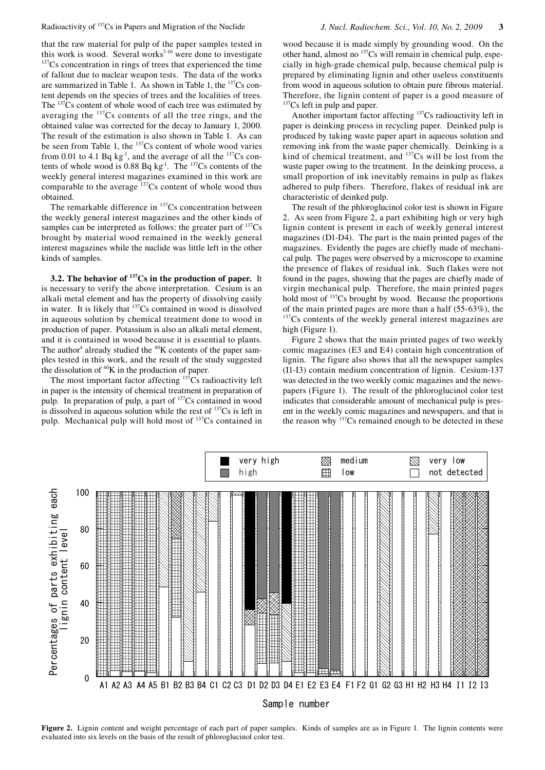Radioactivity of 137Cs in Papers and Migration of the Nuclide *J. Nucl. Radiochem. Sci., Vol. 10, No. 2, 2009* **3**

that the raw material for pulp of the paper samples tested in this work is wood. Several works<sup>7-10</sup> were done to investigate  $137Cs$  concentration in rings of trees that experienced the time of fallout due to nuclear weapon tests. The data of the works are summarized in Table 1. As shown in Table 1, the  $137Cs$  content depends on the species of trees and the localities of trees. The  $137Cs$  content of whole wood of each tree was estimated by averaging the 137Cs contents of all the tree rings, and the obtained value was corrected for the decay to January 1, 2000. The result of the estimation is also shown in Table 1. As can be seen from Table 1, the  $137Cs$  content of whole wood varies from 0.01 to 4.1 Bq kg<sup>-1</sup>, and the average of all the  $137Cs$  contents of whole wood is  $0.88$  Bq kg<sup>-1</sup>. The  $137Cs$  contents of the weekly general interest magazines examined in this work are comparable to the average  $137Cs$  content of whole wood thus obtained.

The remarkable difference in  $137Cs$  concentration between the weekly general interest magazines and the other kinds of samples can be interpreted as follows: the greater part of  $137Cs$ brought by material wood remained in the weekly general interest magazines while the nuclide was little left in the other kinds of samples.

**3.2. The behavior of 137Cs in the production of paper.** It is necessary to verify the above interpretation. Cesium is an alkali metal element and has the property of dissolving easily in water. It is likely that <sup>137</sup>Cs contained in wood is dissolved in aqueous solution by chemical treatment done to wood in production of paper. Potassium is also an alkali metal element, and it is contained in wood because it is essential to plants. The author<sup>4</sup> already studied the  $40K$  contents of the paper samples tested in this work, and the result of the study suggested the dissolution of  ${}^{40}K$  in the production of paper.

The most important factor affecting <sup>137</sup>Cs radioactivity left in paper is the intensity of chemical treatment in preparation of pulp. In preparation of pulp, a part of <sup>137</sup>Cs contained in wood is dissolved in aqueous solution while the rest of  $137Cs$  is left in pulp. Mechanical pulp will hold most of 137Cs contained in

wood because it is made simply by grounding wood. On the other hand, almost no 137Cs will remain in chemical pulp, especially in high-grade chemical pulp, because chemical pulp is prepared by eliminating lignin and other useless constituents from wood in aqueous solution to obtain pure fibrous material. Therefore, the lignin content of paper is a good measure of  $137Cs$  left in pulp and paper.

Another important factor affecting 137Cs radioactivity left in paper is deinking process in recycling paper. Deinked pulp is produced by taking waste paper apart in aqueous solution and removing ink from the waste paper chemically. Deinking is a kind of chemical treatment, and  $137Cs$  will be lost from the waste paper owing to the treatment. In the deinking process, a small proportion of ink inevitably remains in pulp as flakes adhered to pulp fibers. Therefore, flakes of residual ink are characteristic of deinked pulp.

The result of the phloroglucinol color test is shown in Figure 2. As seen from Figure 2, a part exhibiting high or very high lignin content is present in each of weekly general interest magazines (D1-D4). The part is the main printed pages of the magazines. Evidently the pages are chiefly made of mechanical pulp. The pages were observed by a microscope to examine the presence of flakes of residual ink. Such flakes were not found in the pages, showing that the pages are chiefly made of virgin mechanical pulp. Therefore, the main printed pages hold most of <sup>137</sup>Cs brought by wood. Because the proportions of the main printed pages are more than a half (55-63%), the <sup>137</sup>Cs contents of the weekly general interest magazines are high (Figure 1).

Figure 2 shows that the main printed pages of two weekly comic magazines (E3 and E4) contain high concentration of lignin. The figure also shows that all the newspaper samples (I1-I3) contain medium concentration of lignin. Cesium-137 was detected in the two weekly comic magazines and the newspapers (Figure 1). The result of the phloroglucinol color test indicates that considerable amount of mechanical pulp is present in the weekly comic magazines and newspapers, and that is the reason why <sup>137</sup>Cs remained enough to be detected in these



**Figure 2.** Lignin content and weight percentage of each part of paper samples. Kinds of samples are as in Figure 1. The lignin contents were evaluated into six levels on the basis of the result of phloroglucinol color test.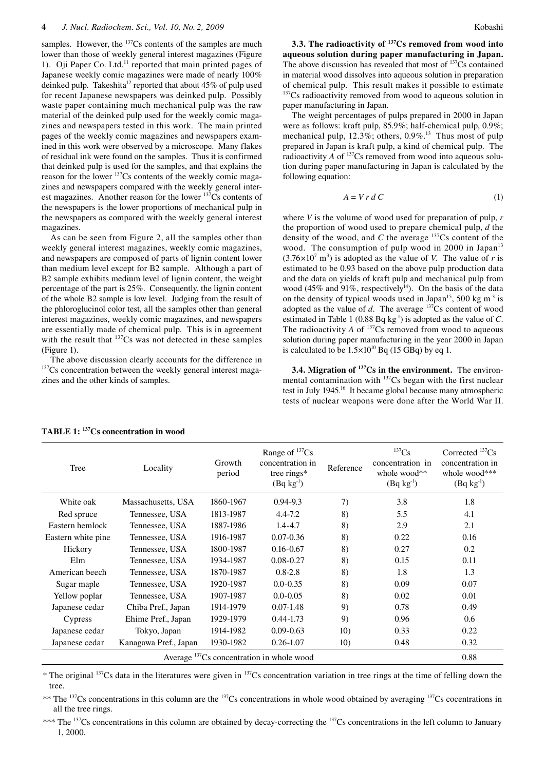samples. However, the <sup>137</sup>Cs contents of the samples are much lower than those of weekly general interest magazines (Figure 1). Oji Paper Co. Ltd.<sup>11</sup> reported that main printed pages of Japanese weekly comic magazines were made of nearly 100% deinked pulp. Takeshita<sup>12</sup> reported that about 45% of pulp used for recent Japanese newspapers was deinked pulp. Possibly waste paper containing much mechanical pulp was the raw material of the deinked pulp used for the weekly comic magazines and newspapers tested in this work. The main printed pages of the weekly comic magazines and newspapers examined in this work were observed by a microscope. Many flakes of residual ink were found on the samples. Thus it is confirmed that deinked pulp is used for the samples, and that explains the reason for the lower 137Cs contents of the weekly comic magazines and newspapers compared with the weekly general interest magazines. Another reason for the lower 137Cs contents of the newspapers is the lower proportions of mechanical pulp in the newspapers as compared with the weekly general interest magazines.

As can be seen from Figure 2, all the samples other than weekly general interest magazines, weekly comic magazines, and newspapers are composed of parts of lignin content lower than medium level except for B2 sample. Although a part of B2 sample exhibits medium level of lignin content, the weight percentage of the part is 25%. Consequently, the lignin content of the whole B2 sample is low level. Judging from the result of the phloroglucinol color test, all the samples other than general interest magazines, weekly comic magazines, and newspapers are essentially made of chemical pulp. This is in agreement with the result that <sup>137</sup>Cs was not detected in these samples (Figure 1).

The above discussion clearly accounts for the difference in 137Cs concentration between the weekly general interest magazines and the other kinds of samples.

**3.3. The radioactivity of 137Cs removed from wood into aqueous solution during paper manufacturing in Japan.**  The above discussion has revealed that most of <sup>137</sup>Cs contained in material wood dissolves into aqueous solution in preparation of chemical pulp. This result makes it possible to estimate <sup>137</sup>Cs radioactivity removed from wood to aqueous solution in paper manufacturing in Japan.

The weight percentages of pulps prepared in 2000 in Japan were as follows: kraft pulp, 85.9%; half-chemical pulp, 0.9%; mechanical pulp,  $12.3\%$ ; others,  $0.9\%$ <sup>13</sup>. Thus most of pulp prepared in Japan is kraft pulp, a kind of chemical pulp. The radioactivity  $A$  of  $^{137}Cs$  removed from wood into aqueous solution during paper manufacturing in Japan is calculated by the following equation:

$$
A = V r d C \tag{1}
$$

where *V* is the volume of wood used for preparation of pulp, *r* the proportion of wood used to prepare chemical pulp, *d* the density of the wood, and *C* the average <sup>137</sup>Cs content of the wood. The consumption of pulp wood in 2000 in Japan $13$  $(3.76 \times 10^7 \text{ m}^3)$  is adopted as the value of *V*. The value of *r* is estimated to be 0.93 based on the above pulp production data and the data on yields of kraft pulp and mechanical pulp from wood (45% and 91%, respectively<sup> $\bar{1}$ 4). On the basis of the data</sup> on the density of typical woods used in Japan<sup>15</sup>, 500 kg m<sup>-3</sup> is adopted as the value of  $d$ . The average  $137Cs$  content of wood estimated in Table 1 (0.88 Bq kg<sup>-1</sup>) is adopted as the value of *C*. The radioactivity  $A$  of  $137Cs$  removed from wood to aqueous solution during paper manufacturing in the year 2000 in Japan is calculated to be  $1.5 \times 10^{10}$  Bq (15 GBq) by eq 1.

**3.4. Migration of <sup>137</sup>Cs in the environment.** The environmental contamination with <sup>137</sup>Cs began with the first nuclear test in July 1945.<sup>16</sup> It became global because many atmospheric tests of nuclear weapons were done after the World War II.

| Tree                                        | Locality              | Growth<br>period | Range of ${}^{137}Cs$<br>concentration in<br>tree rings*<br>$(Bq kg-1)$ | Reference | $^{137}Cs$<br>concentration in<br>whole wood**<br>$(Bq kg^{-1})$ | Corrected ${}^{137}Cs$<br>concentration in<br>whole wood***<br>$(Bq kg-1)$ |
|---------------------------------------------|-----------------------|------------------|-------------------------------------------------------------------------|-----------|------------------------------------------------------------------|----------------------------------------------------------------------------|
| White oak                                   | Massachusetts, USA    | 1860-1967        | $0.94 - 9.3$                                                            | 7)        | 3.8                                                              | 1.8                                                                        |
| Red spruce                                  | Tennessee, USA        | 1813-1987        | $4.4 - 7.2$                                                             | 8)        | 5.5                                                              | 4.1                                                                        |
| Eastern hemlock                             | Tennessee, USA        | 1887-1986        | $1.4 - 4.7$                                                             | 8)        | 2.9                                                              | 2.1                                                                        |
| Eastern white pine                          | Tennessee, USA        | 1916-1987        | $0.07 - 0.36$                                                           | 8)        | 0.22                                                             | 0.16                                                                       |
| Hickory                                     | Tennessee, USA        | 1800-1987        | $0.16 - 0.67$                                                           | 8)        | 0.27                                                             | 0.2                                                                        |
| Elm                                         | Tennessee, USA        | 1934-1987        | $0.08 - 0.27$                                                           | 8)        | 0.15                                                             | 0.11                                                                       |
| American beech                              | Tennessee, USA        | 1870-1987        | $0.8 - 2.8$                                                             | 8)        | 1.8                                                              | 1.3                                                                        |
| Sugar maple                                 | Tennessee, USA        | 1920-1987        | $0.0 - 0.35$                                                            | 8)        | 0.09                                                             | 0.07                                                                       |
| Yellow poplar                               | Tennessee, USA        | 1907-1987        | $0.0 - 0.05$                                                            | 8)        | 0.02                                                             | 0.01                                                                       |
| Japanese cedar                              | Chiba Pref., Japan    | 1914-1979        | $0.07 - 1.48$                                                           | 9)        | 0.78                                                             | 0.49                                                                       |
| Cypress                                     | Ehime Pref., Japan    | 1929-1979        | $0.44 - 1.73$                                                           | 9)        | 0.96                                                             | 0.6                                                                        |
| Japanese cedar                              | Tokyo, Japan          | 1914-1982        | $0.09 - 0.63$                                                           | 10)       | 0.33                                                             | 0.22                                                                       |
| Japanese cedar                              | Kanagawa Pref., Japan | 1930-1982        | $0.26 - 1.07$                                                           | 10)       | 0.48                                                             | 0.32                                                                       |
| Average $137Cs$ concentration in whole wood |                       |                  |                                                                         |           |                                                                  | 0.88                                                                       |

# **TABLE 1: 137Cs concentration in wood**

\* The original 137Cs data in the literatures were given in 137Cs concentration variation in tree rings at the time of felling down the tree.

\*\* The <sup>137</sup>Cs concentrations in this column are the <sup>137</sup>Cs concentrations in whole wood obtained by averaging <sup>137</sup>Cs cocentrations in all the tree rings.

\*\*\* The <sup>137</sup>Cs concentrations in this column are obtained by decay-correcting the <sup>137</sup>Cs concentrations in the left column to January 1, 2000.